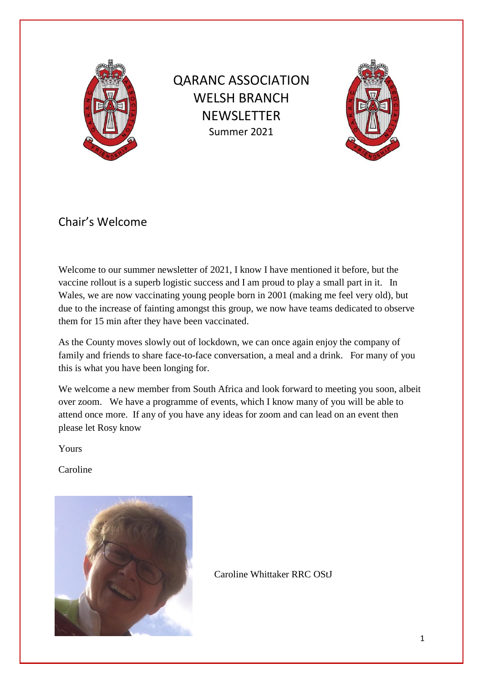

QARANC ASSOCIATION WELSH BRANCH **NEWSLETTER** Summer 2021



# Chair's Welcome

Welcome to our summer newsletter of 2021, I know I have mentioned it before, but the vaccine rollout is a superb logistic success and I am proud to play a small part in it. In Wales, we are now vaccinating young people born in 2001 (making me feel very old), but due to the increase of fainting amongst this group, we now have teams dedicated to observe them for 15 min after they have been vaccinated.

As the County moves slowly out of lockdown, we can once again enjoy the company of family and friends to share face-to-face conversation, a meal and a drink. For many of you this is what you have been longing for.

We welcome a new member from South Africa and look forward to meeting you soon, albeit over zoom. We have a programme of events, which I know many of you will be able to attend once more. If any of you have any ideas for zoom and can lead on an event then please let Rosy know

Yours

Caroline



Caroline Whittaker RRC OStJ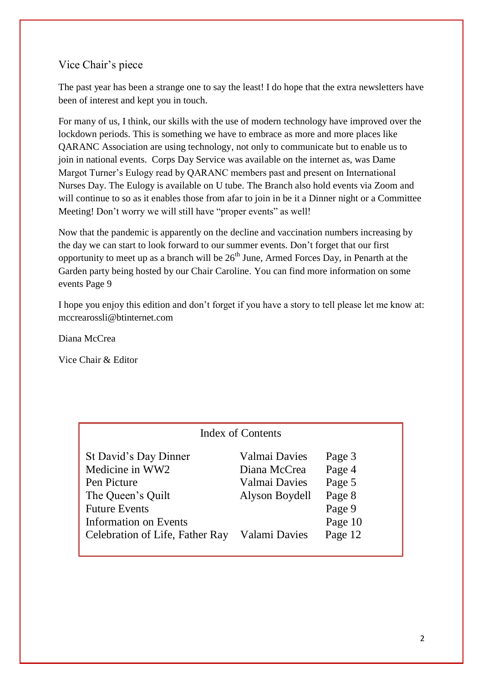## Vice Chair's piece

The past year has been a strange one to say the least! I do hope that the extra newsletters have been of interest and kept you in touch.

For many of us, I think, our skills with the use of modern technology have improved over the lockdown periods. This is something we have to embrace as more and more places like QARANC Association are using technology, not only to communicate but to enable us to join in national events. Corps Day Service was available on the internet as, was Dame Margot Turner's Eulogy read by QARANC members past and present on International Nurses Day. The Eulogy is available on U tube. The Branch also hold events via Zoom and will continue to so as it enables those from afar to join in be it a Dinner night or a Committee Meeting! Don't worry we will still have "proper events" as well!

Now that the pandemic is apparently on the decline and vaccination numbers increasing by the day we can start to look forward to our summer events. Don't forget that our first opportunity to meet up as a branch will be  $26<sup>th</sup>$  June, Armed Forces Day, in Penarth at the Garden party being hosted by our Chair Caroline. You can find more information on some events Page 9

I hope you enjoy this edition and don't forget if you have a story to tell please let me know at: mccrearossli@btinternet.com

Diana McCrea

Vice Chair & Editor

| Index of Contents               |                |         |
|---------------------------------|----------------|---------|
| St David's Day Dinner           | Valmai Davies  | Page 3  |
| Medicine in WW2                 | Diana McCrea   | Page 4  |
| Pen Picture                     | Valmai Davies  | Page 5  |
| The Queen's Quilt               | Alyson Boydell | Page 8  |
| <b>Future Events</b>            |                | Page 9  |
| <b>Information on Events</b>    |                | Page 10 |
| Celebration of Life, Father Ray | Valami Davies  | Page 12 |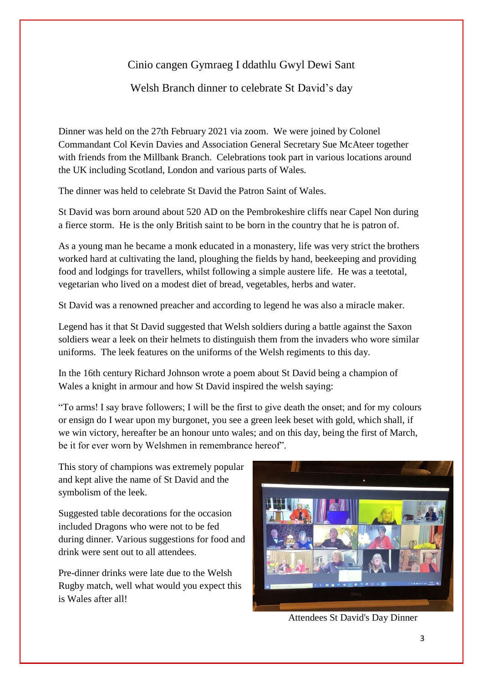## Cinio cangen Gymraeg I ddathlu Gwyl Dewi Sant

Welsh Branch dinner to celebrate St David's day

Dinner was held on the 27th February 2021 via zoom. We were joined by Colonel Commandant Col Kevin Davies and Association General Secretary Sue McAteer together with friends from the Millbank Branch. Celebrations took part in various locations around the UK including Scotland, London and various parts of Wales.

The dinner was held to celebrate St David the Patron Saint of Wales.

St David was born around about 520 AD on the Pembrokeshire cliffs near Capel Non during a fierce storm. He is the only British saint to be born in the country that he is patron of.

As a young man he became a monk educated in a monastery, life was very strict the brothers worked hard at cultivating the land, ploughing the fields by hand, beekeeping and providing food and lodgings for travellers, whilst following a simple austere life. He was a teetotal, vegetarian who lived on a modest diet of bread, vegetables, herbs and water.

St David was a renowned preacher and according to legend he was also a miracle maker.

Legend has it that St David suggested that Welsh soldiers during a battle against the Saxon soldiers wear a leek on their helmets to distinguish them from the invaders who wore similar uniforms. The leek features on the uniforms of the Welsh regiments to this day.

In the 16th century Richard Johnson wrote a poem about St David being a champion of Wales a knight in armour and how St David inspired the welsh saying:

"To arms! I say brave followers; I will be the first to give death the onset; and for my colours or ensign do I wear upon my burgonet, you see a green leek beset with gold, which shall, if we win victory, hereafter be an honour unto wales; and on this day, being the first of March, be it for ever worn by Welshmen in remembrance hereof".

This story of champions was extremely popular and kept alive the name of St David and the symbolism of the leek.

Suggested table decorations for the occasion included Dragons who were not to be fed during dinner. Various suggestions for food and drink were sent out to all attendees.

Pre-dinner drinks were late due to the Welsh Rugby match, well what would you expect this is Wales after all!



Attendees St David's Day Dinner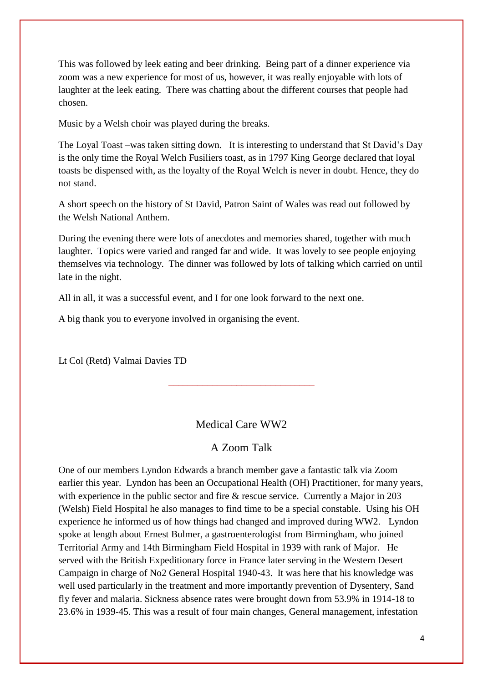This was followed by leek eating and beer drinking. Being part of a dinner experience via zoom was a new experience for most of us, however, it was really enjoyable with lots of laughter at the leek eating. There was chatting about the different courses that people had chosen.

Music by a Welsh choir was played during the breaks.

The Loyal Toast –was taken sitting down. It is interesting to understand that St David's Day is the only time the Royal Welch Fusiliers toast, as in 1797 King George declared that loyal toasts be dispensed with, as the loyalty of the Royal Welch is never in doubt. Hence, they do not stand.

A short speech on the history of St David, Patron Saint of Wales was read out followed by the Welsh National Anthem.

During the evening there were lots of anecdotes and memories shared, together with much laughter. Topics were varied and ranged far and wide. It was lovely to see people enjoying themselves via technology. The dinner was followed by lots of talking which carried on until late in the night.

All in all, it was a successful event, and I for one look forward to the next one.

A big thank you to everyone involved in organising the event.

Lt Col (Retd) Valmai Davies TD

#### Medical Care WW2

\_\_\_\_\_\_\_\_\_\_\_\_\_\_\_\_\_\_\_\_\_\_\_\_\_\_\_\_\_\_

#### A Zoom Talk

One of our members Lyndon Edwards a branch member gave a fantastic talk via Zoom earlier this year. Lyndon has been an Occupational Health (OH) Practitioner, for many years, with experience in the public sector and fire & rescue service. Currently a Major in 203 (Welsh) Field Hospital he also manages to find time to be a special constable. Using his OH experience he informed us of how things had changed and improved during WW2. Lyndon spoke at length about Ernest Bulmer, a gastroenterologist from Birmingham, who joined Territorial Army and 14th Birmingham Field Hospital in 1939 with rank of Major. He served with the British Expeditionary force in France later serving in the Western Desert Campaign in charge of No2 General Hospital 1940-43. It was here that his knowledge was well used particularly in the treatment and more importantly prevention of Dysentery, Sand fly fever and malaria. Sickness absence rates were brought down from 53.9% in 1914-18 to 23.6% in 1939-45. This was a result of four main changes, General management, infestation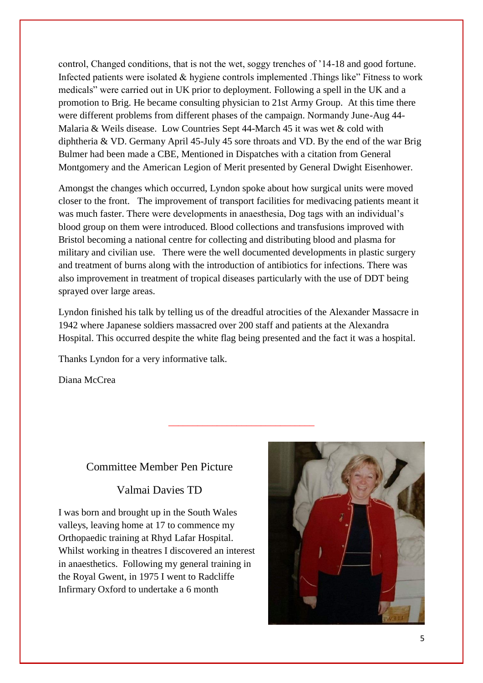control, Changed conditions, that is not the wet, soggy trenches of '14-18 and good fortune. Infected patients were isolated & hygiene controls implemented .Things like" Fitness to work medicals" were carried out in UK prior to deployment. Following a spell in the UK and a promotion to Brig. He became consulting physician to 21st Army Group. At this time there were different problems from different phases of the campaign. Normandy June-Aug 44- Malaria & Weils disease. Low Countries Sept 44-March 45 it was wet & cold with diphtheria & VD. Germany April 45-July 45 sore throats and VD. By the end of the war Brig Bulmer had been made a CBE, Mentioned in Dispatches with a citation from General Montgomery and the American Legion of Merit presented by General Dwight Eisenhower.

Amongst the changes which occurred, Lyndon spoke about how surgical units were moved closer to the front. The improvement of transport facilities for medivacing patients meant it was much faster. There were developments in anaesthesia, Dog tags with an individual's blood group on them were introduced. Blood collections and transfusions improved with Bristol becoming a national centre for collecting and distributing blood and plasma for military and civilian use. There were the well documented developments in plastic surgery and treatment of burns along with the introduction of antibiotics for infections. There was also improvement in treatment of tropical diseases particularly with the use of DDT being sprayed over large areas.

Lyndon finished his talk by telling us of the dreadful atrocities of the Alexander Massacre in 1942 where Japanese soldiers massacred over 200 staff and patients at the Alexandra Hospital. This occurred despite the white flag being presented and the fact it was a hospital.

\_\_\_\_\_\_\_\_\_\_\_\_\_\_\_\_\_\_\_\_\_\_\_\_\_\_\_\_\_\_

Thanks Lyndon for a very informative talk.

Diana McCrea

### Committee Member Pen Picture

Valmai Davies TD

I was born and brought up in the South Wales valleys, leaving home at 17 to commence my Orthopaedic training at Rhyd Lafar Hospital. Whilst working in theatres I discovered an interest in anaesthetics. Following my general training in the Royal Gwent, in 1975 I went to Radcliffe Infirmary Oxford to undertake a 6 month

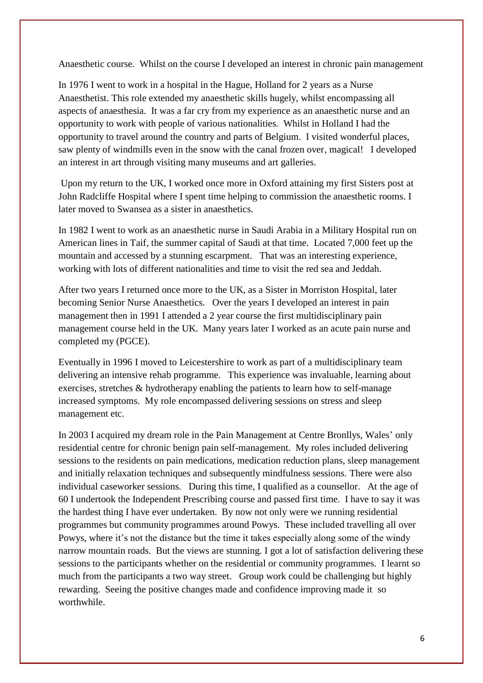Anaesthetic course. Whilst on the course I developed an interest in chronic pain management

In 1976 I went to work in a hospital in the Hague, Holland for 2 years as a Nurse Anaesthetist. This role extended my anaesthetic skills hugely, whilst encompassing all aspects of anaesthesia. It was a far cry from my experience as an anaesthetic nurse and an opportunity to work with people of various nationalities. Whilst in Holland I had the opportunity to travel around the country and parts of Belgium. I visited wonderful places, saw plenty of windmills even in the snow with the canal frozen over, magical! I developed an interest in art through visiting many museums and art galleries.

Upon my return to the UK, I worked once more in Oxford attaining my first Sisters post at John Radcliffe Hospital where I spent time helping to commission the anaesthetic rooms. I later moved to Swansea as a sister in anaesthetics.

In 1982 I went to work as an anaesthetic nurse in Saudi Arabia in a Military Hospital run on American lines in Taif, the summer capital of Saudi at that time. Located 7,000 feet up the mountain and accessed by a stunning escarpment. That was an interesting experience, working with lots of different nationalities and time to visit the red sea and Jeddah.

After two years I returned once more to the UK, as a Sister in Morriston Hospital, later becoming Senior Nurse Anaesthetics. Over the years I developed an interest in pain management then in 1991 I attended a 2 year course the first multidisciplinary pain management course held in the UK. Many years later I worked as an acute pain nurse and completed my (PGCE).

Eventually in 1996 I moved to Leicestershire to work as part of a multidisciplinary team delivering an intensive rehab programme. This experience was invaluable, learning about exercises, stretches & hydrotherapy enabling the patients to learn how to self-manage increased symptoms. My role encompassed delivering sessions on stress and sleep management etc.

In 2003 I acquired my dream role in the Pain Management at Centre Bronllys, Wales' only residential centre for chronic benign pain self-management. My roles included delivering sessions to the residents on pain medications, medication reduction plans, sleep management and initially relaxation techniques and subsequently mindfulness sessions. There were also individual caseworker sessions. During this time, I qualified as a counsellor. At the age of 60 I undertook the Independent Prescribing course and passed first time. I have to say it was the hardest thing I have ever undertaken. By now not only were we running residential programmes but community programmes around Powys. These included travelling all over Powys, where it's not the distance but the time it takes especially along some of the windy narrow mountain roads. But the views are stunning. I got a lot of satisfaction delivering these sessions to the participants whether on the residential or community programmes. I learnt so much from the participants a two way street. Group work could be challenging but highly rewarding. Seeing the positive changes made and confidence improving made it so worthwhile.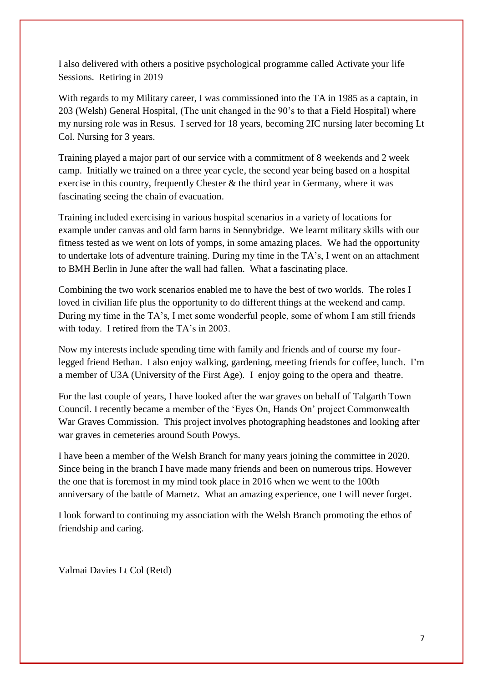I also delivered with others a positive psychological programme called Activate your life Sessions. Retiring in 2019

With regards to my Military career, I was commissioned into the TA in 1985 as a captain, in 203 (Welsh) General Hospital, (The unit changed in the 90's to that a Field Hospital) where my nursing role was in Resus. I served for 18 years, becoming 2IC nursing later becoming Lt Col. Nursing for 3 years.

Training played a major part of our service with a commitment of 8 weekends and 2 week camp. Initially we trained on a three year cycle, the second year being based on a hospital exercise in this country, frequently Chester  $\&$  the third year in Germany, where it was fascinating seeing the chain of evacuation.

Training included exercising in various hospital scenarios in a variety of locations for example under canvas and old farm barns in Sennybridge. We learnt military skills with our fitness tested as we went on lots of yomps, in some amazing places. We had the opportunity to undertake lots of adventure training. During my time in the TA's, I went on an attachment to BMH Berlin in June after the wall had fallen. What a fascinating place.

Combining the two work scenarios enabled me to have the best of two worlds. The roles I loved in civilian life plus the opportunity to do different things at the weekend and camp. During my time in the TA's, I met some wonderful people, some of whom I am still friends with today. I retired from the TA's in 2003.

Now my interests include spending time with family and friends and of course my fourlegged friend Bethan. I also enjoy walking, gardening, meeting friends for coffee, lunch. I'm a member of U3A (University of the First Age). I enjoy going to the opera and theatre.

For the last couple of years, I have looked after the war graves on behalf of Talgarth Town Council. I recently became a member of the 'Eyes On, Hands On' project Commonwealth War Graves Commission. This project involves photographing headstones and looking after war graves in cemeteries around South Powys.

I have been a member of the Welsh Branch for many years joining the committee in 2020. Since being in the branch I have made many friends and been on numerous trips. However the one that is foremost in my mind took place in 2016 when we went to the 100th anniversary of the battle of Mametz. What an amazing experience, one I will never forget.

I look forward to continuing my association with the Welsh Branch promoting the ethos of friendship and caring.

Valmai Davies Lt Col (Retd)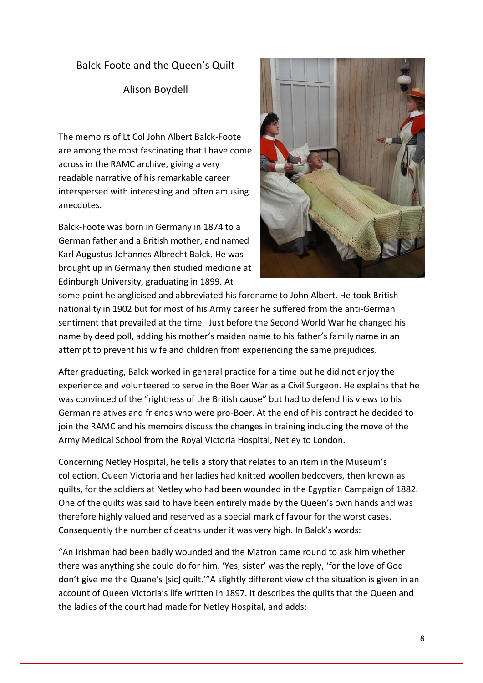#### Balck-Foote and the Queen's Quilt

#### Alison Boydell

The memoirs of Lt Col John Albert Balck-Foote are among the most fascinating that I have come across in the RAMC archive, giving a very readable narrative of his remarkable career interspersed with interesting and often amusing anecdotes.

Balck-Foote was born in Germany in 1874 to a German father and a British mother, and named Karl Augustus Johannes Albrecht Balck. He was brought up in Germany then studied medicine at Edinburgh University, graduating in 1899. At



some point he anglicised and abbreviated his forename to John Albert. He took British nationality in 1902 but for most of his Army career he suffered from the anti-German sentiment that prevailed at the time. Just before the Second World War he changed his name by deed poll, adding his mother's maiden name to his father's family name in an attempt to prevent his wife and children from experiencing the same prejudices.

After graduating, Balck worked in general practice for a time but he did not enjoy the experience and volunteered to serve in the Boer War as a Civil Surgeon. He explains that he was convinced of the "rightness of the British cause" but had to defend his views to his German relatives and friends who were pro-Boer. At the end of his contract he decided to join the RAMC and his memoirs discuss the changes in training including the move of the Army Medical School from the Royal Victoria Hospital, Netley to London.

Concerning Netley Hospital, he tells a story that relates to an item in the Museum's collection. Queen Victoria and her ladies had knitted woollen bedcovers, then known as quilts, for the soldiers at Netley who had been wounded in the Egyptian Campaign of 1882. One of the quilts was said to have been entirely made by the Queen's own hands and was therefore highly valued and reserved as a special mark of favour for the worst cases. Consequently the number of deaths under it was very high. In Balck's words:

"An Irishman had been badly wounded and the Matron came round to ask him whether there was anything she could do for him. 'Yes, sister' was the reply, 'for the love of God don't give me the Quane's [sic] quilt.'"A slightly different view of the situation is given in an account of Queen Victoria's life written in 1897. It describes the quilts that the Queen and the ladies of the court had made for Netley Hospital, and adds: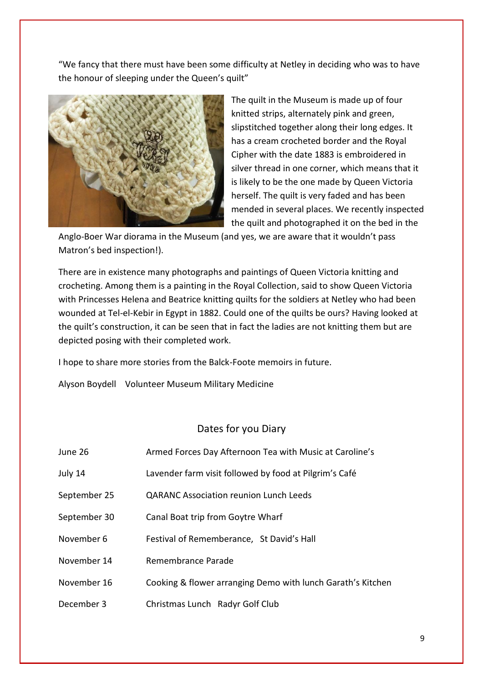"We fancy that there must have been some difficulty at Netley in deciding who was to have the honour of sleeping under the Queen's quilt"



The quilt in the Museum is made up of four knitted strips, alternately pink and green, slipstitched together along their long edges. It has a cream crocheted border and the Royal Cipher with the date 1883 is embroidered in silver thread in one corner, which means that it is likely to be the one made by Queen Victoria herself. The quilt is very faded and has been mended in several places. We recently inspected the quilt and photographed it on the bed in the

Anglo-Boer War diorama in the Museum (and yes, we are aware that it wouldn't pass Matron's bed inspection!).

There are in existence many photographs and paintings of Queen Victoria knitting and crocheting. Among them is a painting in the Royal Collection, said to show Queen Victoria with Princesses Helena and Beatrice knitting quilts for the soldiers at Netley who had been wounded at Tel-el-Kebir in Egypt in 1882. Could one of the quilts be ours? Having looked at the quilt's construction, it can be seen that in fact the ladies are not knitting them but are depicted posing with their completed work.

I hope to share more stories from the Balck-Foote memoirs in future.

Alyson Boydell Volunteer Museum Military Medicine

#### Dates for you Diary

| June 26      | Armed Forces Day Afternoon Tea with Music at Caroline's     |
|--------------|-------------------------------------------------------------|
| July 14      | Lavender farm visit followed by food at Pilgrim's Café      |
| September 25 | <b>QARANC Association reunion Lunch Leeds</b>               |
| September 30 | Canal Boat trip from Goytre Wharf                           |
| November 6   | Festival of Rememberance, St David's Hall                   |
| November 14  | Remembrance Parade                                          |
| November 16  | Cooking & flower arranging Demo with lunch Garath's Kitchen |
| December 3   | Christmas Lunch Radyr Golf Club                             |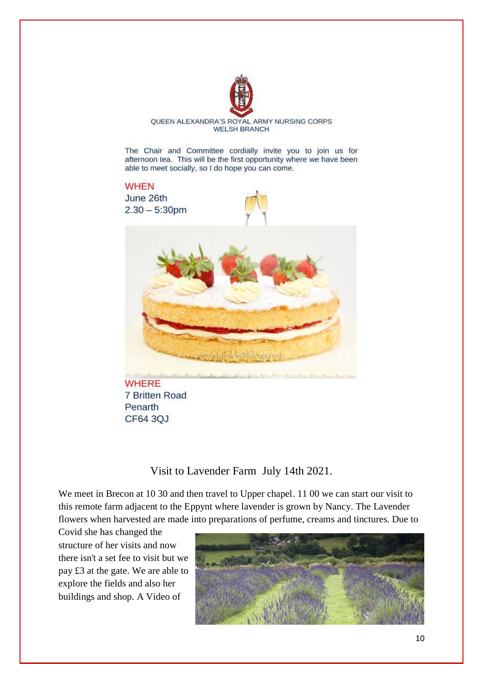

QUEEN ALEXANDRA'S ROYAL ARMY NURSING CORPS **WELSH BRANCH** 

The Chair and Committee cordially invite you to join us for afternoon tea. This will be the first opportunity where we have been able to meet socially, so I do hope you can come.

# **WHEN**

June 26th  $2.30 - 5:30$ pm





**WHERE** 7 Britten Road Penarth CF64 3QJ

### Visit to Lavender Farm July 14th 2021.

We meet in Brecon at 10 30 and then travel to Upper chapel. 11 00 we can start our visit to this remote farm adjacent to the Eppynt where lavender is grown by Nancy. The Lavender flowers when harvested are made into preparations of perfume, creams and tinctures. Due to

Covid she has changed the structure of her visits and now there isn't a set fee to visit but we pay £3 at the gate. We are able to explore the fields and also her buildings and shop. A Video of

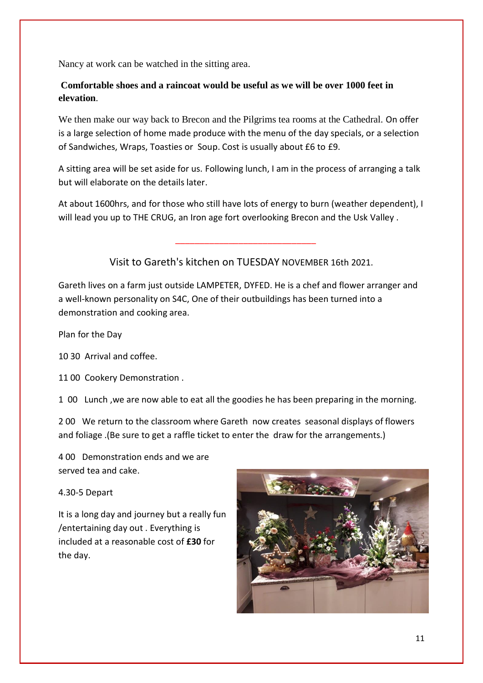Nancy at work can be watched in the sitting area.

### **Comfortable shoes and a raincoat would be useful as we will be over 1000 feet in elevation**.

We then make our way back to Brecon and the Pilgrims tea rooms at the Cathedral. On offer is a large selection of home made produce with the menu of the day specials, or a selection of Sandwiches, Wraps, Toasties or Soup. Cost is usually about £6 to £9.

A sitting area will be set aside for us. Following lunch, I am in the process of arranging a talk but will elaborate on the details later.

At about 1600hrs, and for those who still have lots of energy to burn (weather dependent), I will lead you up to THE CRUG, an Iron age fort overlooking Brecon and the Usk Valley .

Visit to Gareth's kitchen on TUESDAY NOVEMBER 16th 2021.

\_\_\_\_\_\_\_\_\_\_\_\_\_\_\_\_\_\_\_\_\_\_\_\_\_\_\_\_\_

Gareth lives on a farm just outside LAMPETER, DYFED. He is a chef and flower arranger and a well-known personality on S4C, One of their outbuildings has been turned into a demonstration and cooking area.

Plan for the Day

10 30 Arrival and coffee.

11 00 Cookery Demonstration .

1 00 Lunch ,we are now able to eat all the goodies he has been preparing in the morning.

2 00 We return to the classroom where Gareth now creates seasonal displays of flowers and foliage .(Be sure to get a raffle ticket to enter the draw for the arrangements.)

4 00 Demonstration ends and we are served tea and cake.

4.30-5 Depart

It is a long day and journey but a really fun /entertaining day out . Everything is included at a reasonable cost of **£30** for the day.

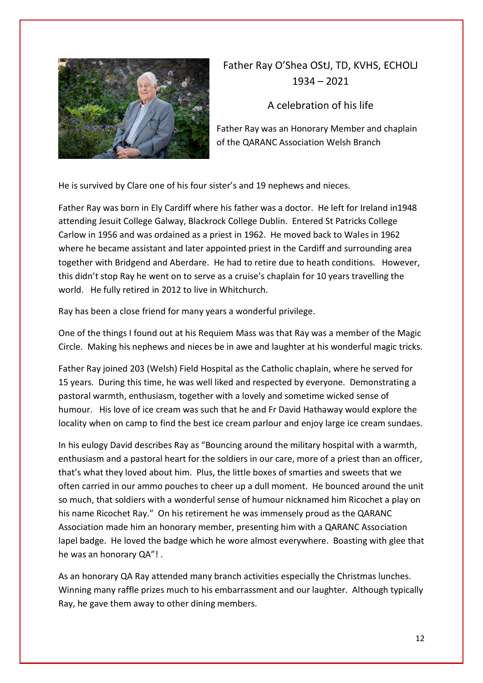

# Father Ray O'Shea OStJ, TD, KVHS, ECHOLJ 1934 – 2021

## A celebration of his life

Father Ray was an Honorary Member and chaplain of the QARANC Association Welsh Branch

He is survived by Clare one of his four sister's and 19 nephews and nieces.

Father Ray was born in Ely Cardiff where his father was a doctor. He left for Ireland in1948 attending Jesuit College Galway, Blackrock College Dublin. Entered St Patricks College Carlow in 1956 and was ordained as a priest in 1962. He moved back to Wales in 1962 where he became assistant and later appointed priest in the Cardiff and surrounding area together with Bridgend and Aberdare. He had to retire due to heath conditions. However, this didn't stop Ray he went on to serve as a cruise's chaplain for 10 years travelling the world. He fully retired in 2012 to live in Whitchurch.

Ray has been a close friend for many years a wonderful privilege.

One of the things I found out at his Requiem Mass was that Ray was a member of the Magic Circle. Making his nephews and nieces be in awe and laughter at his wonderful magic tricks.

Father Ray joined 203 (Welsh) Field Hospital as the Catholic chaplain, where he served for 15 years. During this time, he was well liked and respected by everyone. Demonstrating a pastoral warmth, enthusiasm, together with a lovely and sometime wicked sense of humour. His love of ice cream was such that he and Fr David Hathaway would explore the locality when on camp to find the best ice cream parlour and enjoy large ice cream sundaes.

In his eulogy David describes Ray as "Bouncing around the military hospital with a warmth, enthusiasm and a pastoral heart for the soldiers in our care, more of a priest than an officer, that's what they loved about him. Plus, the little boxes of smarties and sweets that we often carried in our ammo pouches to cheer up a dull moment. He bounced around the unit so much, that soldiers with a wonderful sense of humour nicknamed him Ricochet a play on his name Ricochet Ray." On his retirement he was immensely proud as the QARANC Association made him an honorary member, presenting him with a QARANC Association lapel badge. He loved the badge which he wore almost everywhere. Boasting with glee that he was an honorary QA"! .

As an honorary QA Ray attended many branch activities especially the Christmas lunches. Winning many raffle prizes much to his embarrassment and our laughter. Although typically Ray, he gave them away to other dining members.